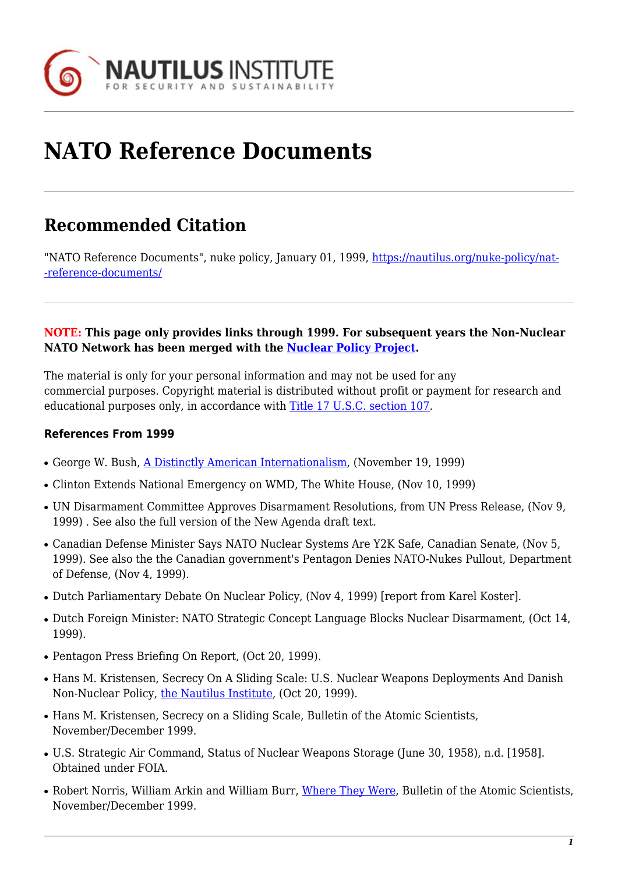

# **NATO Reference Documents**

# **Recommended Citation**

"NATO Reference Documents", nuke policy, January 01, 1999, [https://nautilus.org/nuke-policy/nat-](https://nautilus.org/nuke-policy/nato-reference-documents/) [-reference-documents/](https://nautilus.org/nuke-policy/nato-reference-documents/)

#### **NOTE: This page only provides links through 1999. For subsequent years the Non-Nuclear NATO Network has been merged with the [Nuclear Policy Project](https://nautilus.org/publications/nuclear-policy-project-flash-updates/).**

The material is only for your personal information and may not be used for any commercial purposes. Copyright material is distributed without profit or payment for research and educational purposes only, in accordance with [Title 17 U.S.C. section 107](http://www.law.cornell.edu/uscode/17/107.shtml).

# **References From 1999**

- George W. Bush, [A Distinctly American Internationalism](http://fas.org/news/usa/1999/11/991119-bush-foreignpolicy.htm), (November 19, 1999)
- Clinton Extends National Emergency on WMD, The White House, (Nov 10, 1999)
- UN Disarmament Committee Approves Disarmament Resolutions, from UN Press Release, (Nov 9, 1999) . See also the full version of the New Agenda draft text.
- Canadian Defense Minister Says NATO Nuclear Systems Are Y2K Safe, Canadian Senate, (Nov 5, 1999). See also the the Canadian government's Pentagon Denies NATO-Nukes Pullout, Department of Defense, (Nov 4, 1999).
- Dutch Parliamentary Debate On Nuclear Policy, (Nov 4, 1999) [report from Karel Koster].
- Dutch Foreign Minister: NATO Strategic Concept Language Blocks Nuclear Disarmament, (Oct 14, 1999).
- Pentagon Press Briefing On Report, (Oct 20, 1999).
- Hans M. Kristensen, Secrecy On A Sliding Scale: U.S. Nuclear Weapons Deployments And Danish Non-Nuclear Policy, [the Nautilus Institute,](http://nautilus.org/nautilus.org) (Oct 20, 1999).
- Hans M. Kristensen, Secrecy on a Sliding Scale, Bulletin of the Atomic Scientists, November/December 1999.
- U.S. Strategic Air Command, Status of Nuclear Weapons Storage (June 30, 1958), n.d. [1958]. Obtained under FOIA.
- Robert Norris, William Arkin and William Burr, [Where They Were](http://thebulletin.org/1999/november/where-they-were), Bulletin of the Atomic Scientists, November/December 1999.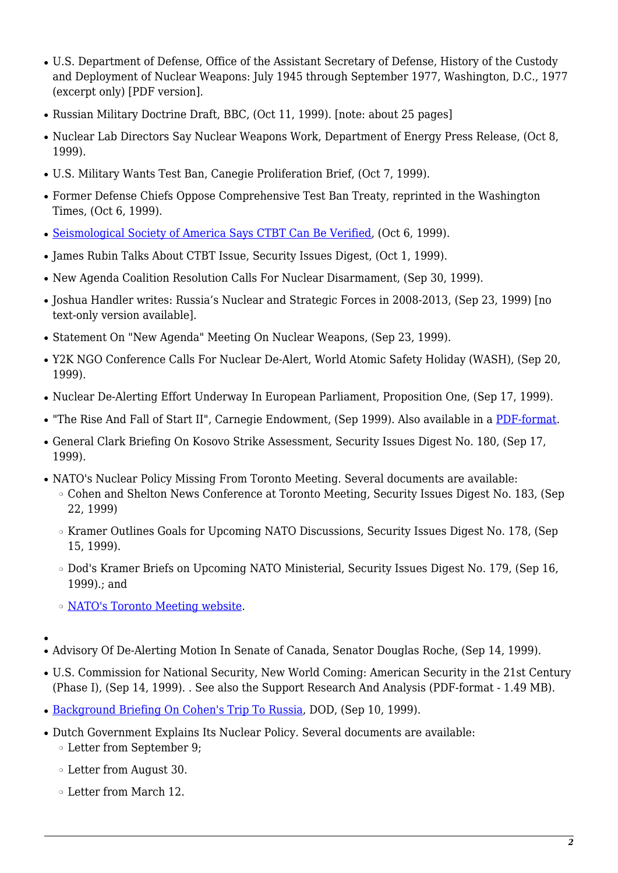- U.S. Department of Defense, Office of the Assistant Secretary of Defense, History of the Custody and Deployment of Nuclear Weapons: July 1945 through September 1977, Washington, D.C., 1977 (excerpt only) [PDF version].
- Russian Military Doctrine Draft, BBC, (Oct 11, 1999). [note: about 25 pages]
- Nuclear Lab Directors Say Nuclear Weapons Work, Department of Energy Press Release, (Oct 8, 1999).
- U.S. Military Wants Test Ban, Canegie Proliferation Brief, (Oct 7, 1999).
- Former Defense Chiefs Oppose Comprehensive Test Ban Treaty, reprinted in the Washington Times, (Oct 6, 1999).
- [Seismological Society of America Says CTBT Can Be Verified,](http://www.seismosoc.org/government/position_statement.html) (Oct 6, 1999).
- James Rubin Talks About CTBT Issue, Security Issues Digest, (Oct 1, 1999).
- New Agenda Coalition Resolution Calls For Nuclear Disarmament, (Sep 30, 1999).
- Joshua Handler writes: Russia's Nuclear and Strategic Forces in 2008-2013, (Sep 23, 1999) [no text-only version available].
- Statement On "New Agenda" Meeting On Nuclear Weapons, (Sep 23, 1999).
- Y2K NGO Conference Calls For Nuclear De-Alert, World Atomic Safety Holiday (WASH), (Sep 20, 1999).
- Nuclear De-Alerting Effort Underway In European Parliament, Proposition One, (Sep 17, 1999).
- "The Rise And Fall of Start II", Carnegie Endowment, (Sep 1999). Also available in a [PDF-format](http://www.bits.de/NRANEU/START/documents/pikayev.PDF).
- General Clark Briefing On Kosovo Strike Assessment, Security Issues Digest No. 180, (Sep 17, 1999).
- NATO's Nuclear Policy Missing From Toronto Meeting. Several documents are available:
	- ❍ Cohen and Shelton News Conference at Toronto Meeting, Security Issues Digest No. 183, (Sep 22, 1999)
	- ❍ Kramer Outlines Goals for Upcoming NATO Discussions, Security Issues Digest No. 178, (Sep 15, 1999).
	- ❍ Dod's Kramer Briefs on Upcoming NATO Ministerial, Security Issues Digest No. 179, (Sep 16, 1999).; and
	- ❍ [NATO's Toronto Meeting website](http://www.nato.int/docu/comm/1999/9909-trt/9909-trt.htm).
- ●
- Advisory Of De-Alerting Motion In Senate of Canada, Senator Douglas Roche, (Sep 14, 1999).
- U.S. Commission for National Security, New World Coming: American Security in the 21st Century (Phase I), (Sep 14, 1999). . See also the Support Research And Analysis (PDF-format - 1.49 MB).
- [Background Briefing On Cohen's Trip To Russia,](http://www.defenselink.mil/news/Sep1999/x09101999_xrfg-910.html) DOD, (Sep 10, 1999).
- Dutch Government Explains Its Nuclear Policy. Several documents are available:
	- ❍ Letter from September 9;
	- ❍ Letter from August 30.
	- ❍ Letter from March 12.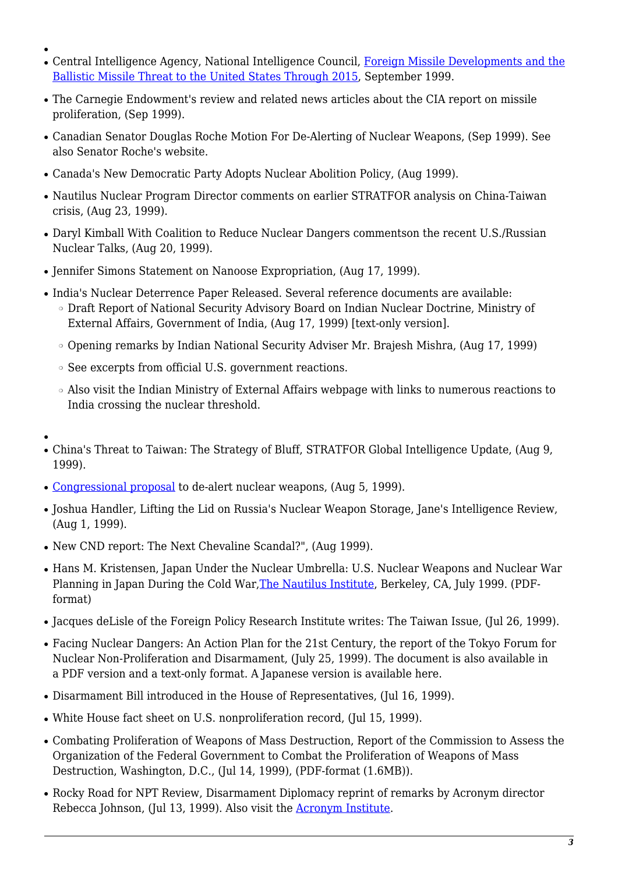- Central Intelligence Agency, National Intelligence Council, [Foreign Missile Developments and the](http://www.cia.gov/cia/publications/nie/nie99msl.html) [Ballistic Missile Threat to the United States Through 2015](http://www.cia.gov/cia/publications/nie/nie99msl.html), September 1999.
- The Carnegie Endowment's review and related news articles about the CIA report on missile proliferation, (Sep 1999).
- Canadian Senator Douglas Roche Motion For De-Alerting of Nuclear Weapons, (Sep 1999). See also Senator Roche's website.
- Canada's New Democratic Party Adopts Nuclear Abolition Policy, (Aug 1999).
- Nautilus Nuclear Program Director comments on earlier STRATFOR analysis on China-Taiwan crisis, (Aug 23, 1999).
- Daryl Kimball With Coalition to Reduce Nuclear Dangers commentson the recent U.S./Russian Nuclear Talks, (Aug 20, 1999).
- Jennifer Simons Statement on Nanoose Expropriation, (Aug 17, 1999).
- India's Nuclear Deterrence Paper Released. Several reference documents are available:
	- ❍ Draft Report of National Security Advisory Board on Indian Nuclear Doctrine, Ministry of External Affairs, Government of India, (Aug 17, 1999) [text-only version].
	- ❍ Opening remarks by Indian National Security Adviser Mr. Brajesh Mishra, (Aug 17, 1999)
	- ❍ See excerpts from official U.S. government reactions.
	- ❍ Also visit the Indian Ministry of External Affairs webpage with links to numerous reactions to India crossing the nuclear threshold.
- ●

●

- China's Threat to Taiwan: The Strategy of Bluff, STRATFOR Global Intelligence Update, (Aug 9, 1999).
- [Congressional proposal](http://prop1.org/2000/99markey.htm#hres177) to de-alert nuclear weapons, (Aug 5, 1999).
- Joshua Handler, Lifting the Lid on Russia's Nuclear Weapon Storage, Jane's Intelligence Review, (Aug 1, 1999).
- New CND report: The Next Chevaline Scandal?", (Aug 1999).
- Hans M. Kristensen, Japan Under the Nuclear Umbrella: U.S. Nuclear Weapons and Nuclear War Planning in Japan During the Cold War[,The Nautilus Institute,](http://www.nautilus.org/) Berkeley, CA, July 1999. (PDFformat)
- Jacques deLisle of the Foreign Policy Research Institute writes: The Taiwan Issue, (Jul 26, 1999).
- Facing Nuclear Dangers: An Action Plan for the 21st Century, the report of the Tokyo Forum for Nuclear Non-Proliferation and Disarmament, (July 25, 1999). The document is also available in a PDF version and a text-only format. A Japanese version is available here.
- Disarmament Bill introduced in the House of Representatives, (Jul 16, 1999).
- White House fact sheet on U.S. nonproliferation record, (Jul 15, 1999).
- Combating Proliferation of Weapons of Mass Destruction, Report of the Commission to Assess the Organization of the Federal Government to Combat the Proliferation of Weapons of Mass Destruction, Washington, D.C., (Jul 14, 1999), (PDF-format (1.6MB)).
- Rocky Road for NPT Review, Disarmament Diplomacy reprint of remarks by Acronym director Rebecca Johnson, (Jul 13, 1999). Also visit the [Acronym Institute.](http://www.acronym.org.uk/)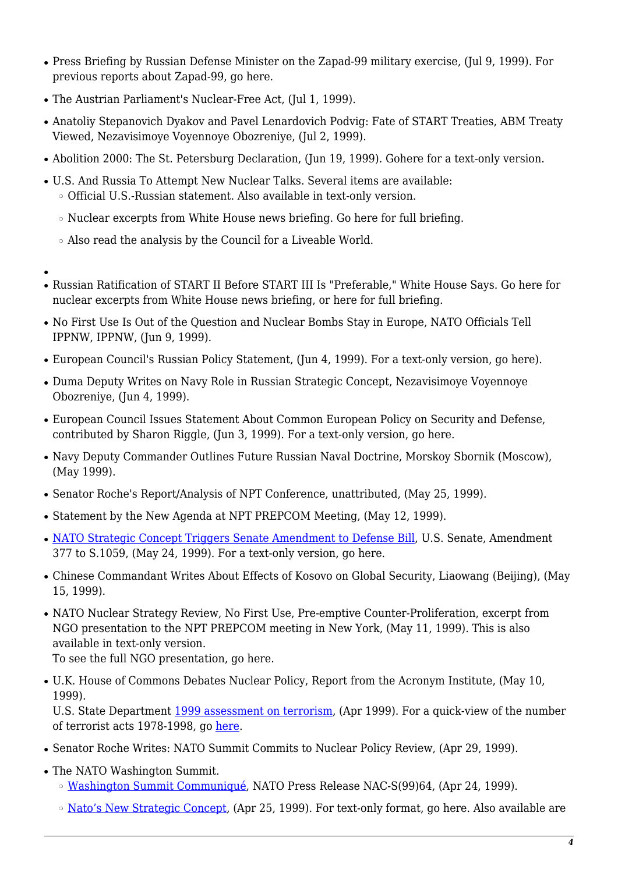- Press Briefing by Russian Defense Minister on the Zapad-99 military exercise, (Jul 9, 1999). For previous reports about Zapad-99, go here.
- The Austrian Parliament's Nuclear-Free Act, (Jul 1, 1999).
- Anatoliy Stepanovich Dyakov and Pavel Lenardovich Podvig: Fate of START Treaties, ABM Treaty Viewed, Nezavisimoye Voyennoye Obozreniye, (Jul 2, 1999).
- Abolition 2000: The St. Petersburg Declaration, (Jun 19, 1999). Gohere for a text-only version.
- U.S. And Russia To Attempt New Nuclear Talks. Several items are available: ❍ Official U.S.-Russian statement. Also available in text-only version.
	- ❍ Nuclear excerpts from White House news briefing. Go here for full briefing.
	- ❍ Also read the analysis by the Council for a Liveable World.
- ●
- Russian Ratification of START II Before START III Is "Preferable," White House Says. Go here for nuclear excerpts from White House news briefing, or here for full briefing.
- No First Use Is Out of the Question and Nuclear Bombs Stay in Europe, NATO Officials Tell IPPNW, IPPNW, (Jun 9, 1999).
- European Council's Russian Policy Statement, (Jun 4, 1999). For a text-only version, go here).
- Duma Deputy Writes on Navy Role in Russian Strategic Concept, Nezavisimove Voyennove Obozreniye, (Jun 4, 1999).
- European Council Issues Statement About Common European Policy on Security and Defense, contributed by Sharon Riggle, (Jun 3, 1999). For a text-only version, go here.
- Navy Deputy Commander Outlines Future Russian Naval Doctrine, Morskoy Sbornik (Moscow), (May 1999).
- Senator Roche's Report/Analysis of NPT Conference, unattributed, (May 25, 1999).
- Statement by the New Agenda at NPT PREPCOM Meeting, (May 12, 1999).
- [NATO Strategic Concept Triggers Senate Amendment to Defense Bill,](http://rs9.loc.gov/cgi-bin/bdquery/z?d106:SP00377:) U.S. Senate, Amendment 377 to S.1059, (May 24, 1999). For a text-only version, go here.
- Chinese Commandant Writes About Effects of Kosovo on Global Security, Liaowang (Beijing), (May 15, 1999).
- NATO Nuclear Strategy Review, No First Use, Pre-emptive Counter-Proliferation, excerpt from NGO presentation to the NPT PREPCOM meeting in New York, (May 11, 1999). This is also available in text-only version.

To see the full NGO presentation, go here.

• U.K. House of Commons Debates Nuclear Policy, Report from the Acronym Institute, (May 10, 1999).

U.S. State Department [1999 assessment on terrorism](http://www.state.gov/www/global/terrorism/1998Report/1998index.html), (Apr 1999). For a quick-view of the number of terrorist acts 1978-1998, go [here.](http://www.state.gov/www/global/terrorism/1998Report/p.gif)

- Senator Roche Writes: NATO Summit Commits to Nuclear Policy Review, (Apr 29, 1999).
- The NATO Washington Summit.
	- ❍ [Washington Summit Communiqué](http://www.nato.int/docu/pr/1999/p99-064e.htm), NATO Press Release NAC-S(99)64, (Apr 24, 1999).
	- $\circ$  [Nato's New Strategic Concept](http://www.nato.int/docu/pr/1999/p99-065e.htm), (Apr 25, 1999). For text-only format, go here. Also available are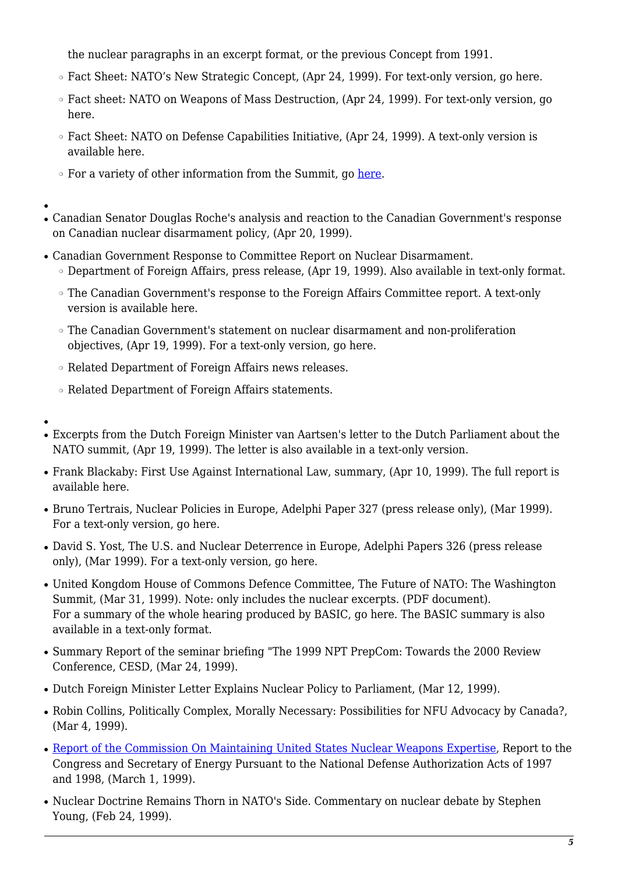the nuclear paragraphs in an excerpt format, or the previous Concept from 1991.

- ❍ Fact Sheet: NATO's New Strategic Concept, (Apr 24, 1999). For text-only version, go here.
- ❍ Fact sheet: NATO on Weapons of Mass Destruction, (Apr 24, 1999). For text-only version, go here.
- ❍ Fact Sheet: NATO on Defense Capabilities Initiative, (Apr 24, 1999). A text-only version is available here.
- For a variety of other information from the Summit, go [here.](http://www.nato.int/docu/comm/1999/9904-wsh/9904-wsh.htm)
- Canadian Senator Douglas Roche's analysis and reaction to the Canadian Government's response on Canadian nuclear disarmament policy, (Apr 20, 1999).
- Canadian Government Response to Committee Report on Nuclear Disarmament.
	- ❍ Department of Foreign Affairs, press release, (Apr 19, 1999). Also available in text-only format.
	- ❍ The Canadian Government's response to the Foreign Affairs Committee report. A text-only version is available here.
	- ❍ The Canadian Government's statement on nuclear disarmament and non-proliferation objectives, (Apr 19, 1999). For a text-only version, go here.
	- ❍ Related Department of Foreign Affairs news releases.
	- ❍ Related Department of Foreign Affairs statements.
- ●

●

- Excerpts from the Dutch Foreign Minister van Aartsen's letter to the Dutch Parliament about the NATO summit, (Apr 19, 1999). The letter is also available in a text-only version.
- Frank Blackaby: First Use Against International Law, summary, (Apr 10, 1999). The full report is available here.
- Bruno Tertrais, Nuclear Policies in Europe, Adelphi Paper 327 (press release only), (Mar 1999). For a text-only version, go here.
- David S. Yost, The U.S. and Nuclear Deterrence in Europe, Adelphi Papers 326 (press release only), (Mar 1999). For a text-only version, go here.
- United Kongdom House of Commons Defence Committee, The Future of NATO: The Washington Summit, (Mar 31, 1999). Note: only includes the nuclear excerpts. (PDF document). For a summary of the whole hearing produced by BASIC, go here. The BASIC summary is also available in a text-only format.
- Summary Report of the seminar briefing "The 1999 NPT PrepCom: Towards the 2000 Review Conference, CESD, (Mar 24, 1999).
- Dutch Foreign Minister Letter Explains Nuclear Policy to Parliament, (Mar 12, 1999).
- Robin Collins, Politically Complex, Morally Necessary: Possibilities for NFU Advocacy by Canada?, (Mar 4, 1999).
- [Report of the Commission On Maintaining United States Nuclear Weapons Expertise](http://www.dp.doe.gov/public/chilesrpt.htm), Report to the Congress and Secretary of Energy Pursuant to the National Defense Authorization Acts of 1997 and 1998, (March 1, 1999).
- Nuclear Doctrine Remains Thorn in NATO's Side. Commentary on nuclear debate by Stephen Young, (Feb 24, 1999).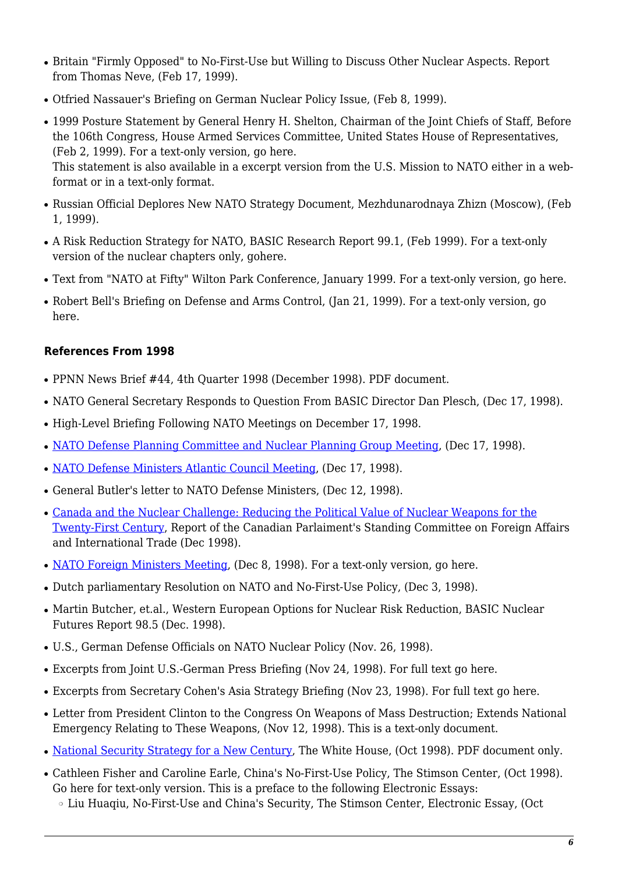- Britain "Firmly Opposed" to No-First-Use but Willing to Discuss Other Nuclear Aspects. Report from Thomas Neve, (Feb 17, 1999).
- Otfried Nassauer's Briefing on German Nuclear Policy Issue, (Feb 8, 1999).
- 1999 Posture Statement by General Henry H. Shelton, Chairman of the Joint Chiefs of Staff, Before the 106th Congress, House Armed Services Committee, United States House of Representatives, (Feb 2, 1999). For a text-only version, go here. This statement is also available in a excerpt version from the U.S. Mission to NATO either in a web-

format or in a text-only format.

- Russian Official Deplores New NATO Strategy Document, Mezhdunarodnaya Zhizn (Moscow), (Feb 1, 1999).
- A Risk Reduction Strategy for NATO, BASIC Research Report 99.1, (Feb 1999). For a text-only version of the nuclear chapters only, gohere.
- Text from "NATO at Fifty" Wilton Park Conference, January 1999. For a text-only version, go here.
- Robert Bell's Briefing on Defense and Arms Control, (Jan 21, 1999). For a text-only version, go here.

# **References From 1998**

- PPNN News Brief #44, 4th Quarter 1998 (December 1998). PDF document.
- NATO General Secretary Responds to Question From BASIC Director Dan Plesch, (Dec 17, 1998).
- High-Level Briefing Following NATO Meetings on December 17, 1998.
- [NATO Defense Planning Committee and Nuclear Planning Group Meeting,](http://www.nato.int/docu/pr/1998/p98-151e.htm) (Dec 17, 1998).
- [NATO Defense Ministers Atlantic Council Meeting](http://www.nato.int/docu/pr/1998/p98-152e.htm), (Dec 17, 1998).
- General Butler's letter to NATO Defense Ministers, (Dec 12, 1998).
- [Canada and the Nuclear Challenge: Reducing the Political Value of Nuclear Weapons for the](http://www.parl.gc.ca/InfoComDoc/36/1/Fait/studies/reports/faitrp07-e.htm) [Twenty-First Century](http://www.parl.gc.ca/InfoComDoc/36/1/Fait/studies/reports/faitrp07-e.htm), Report of the Canadian Parlaiment's Standing Committee on Foreign Affairs and International Trade (Dec 1998).
- [NATO Foreign Ministers Meeting](http://www.nato.int/docu/pr/1998/p981208e.htm), (Dec 8, 1998). For a text-only version, go here.
- Dutch parliamentary Resolution on NATO and No-First-Use Policy, (Dec 3, 1998).
- Martin Butcher, et.al., Western European Options for Nuclear Risk Reduction, BASIC Nuclear Futures Report 98.5 (Dec. 1998).
- U.S., German Defense Officials on NATO Nuclear Policy (Nov. 26, 1998).
- Excerpts from Joint U.S.-German Press Briefing (Nov 24, 1998). For full text go here.
- Excerpts from Secretary Cohen's Asia Strategy Briefing (Nov 23, 1998). For full text go here.
- Letter from President Clinton to the Congress On Weapons of Mass Destruction; Extends National Emergency Relating to These Weapons, (Nov 12, 1998). This is a text-only document.
- [National Security Strategy for a New Century,](http://www.whitehouse.gov/WH/EOP/NSC/html/documents/nssr.pdf) The White House, (Oct 1998). PDF document only.
- Cathleen Fisher and Caroline Earle, China's No-First-Use Policy, The Stimson Center, (Oct 1998). Go here for text-only version. This is a preface to the following Electronic Essays:
	- ❍ Liu Huaqiu, No-First-Use and China's Security, The Stimson Center, Electronic Essay, (Oct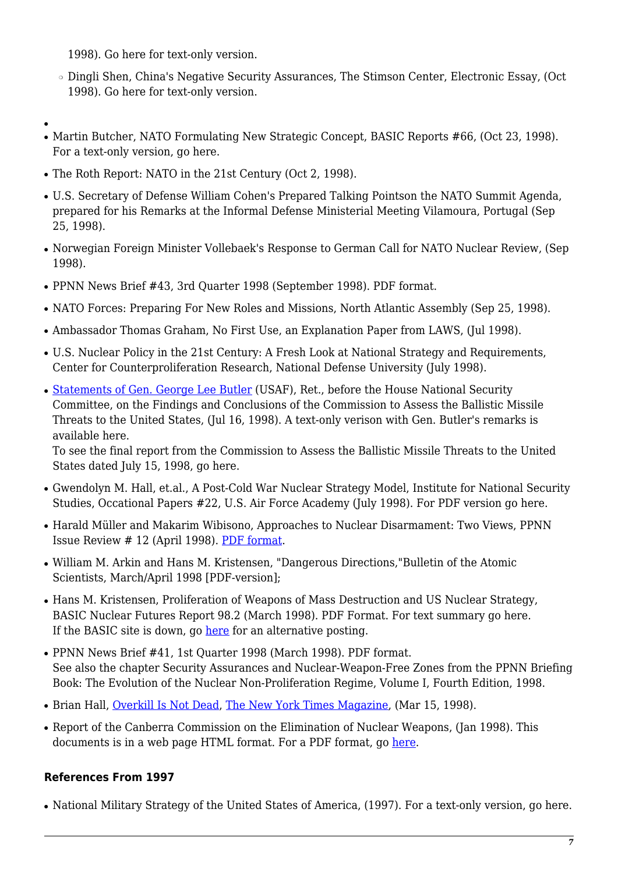1998). Go here for text-only version.

- ❍ Dingli Shen, China's Negative Security Assurances, The Stimson Center, Electronic Essay, (Oct 1998). Go here for text-only version.
- ●
- Martin Butcher, NATO Formulating New Strategic Concept, BASIC Reports #66, (Oct 23, 1998). For a text-only version, go here.
- The Roth Report: NATO in the 21st Century (Oct 2, 1998).
- U.S. Secretary of Defense William Cohen's Prepared Talking Pointson the NATO Summit Agenda, prepared for his Remarks at the Informal Defense Ministerial Meeting Vilamoura, Portugal (Sep 25, 1998).
- Norwegian Foreign Minister Vollebaek's Response to German Call for NATO Nuclear Review, (Sep 1998).
- PPNN News Brief #43, 3rd Quarter 1998 (September 1998). PDF format.
- NATO Forces: Preparing For New Roles and Missions, North Atlantic Assembly (Sep 25, 1998).
- Ambassador Thomas Graham, No First Use, an Explanation Paper from LAWS, (Jul 1998).
- U.S. Nuclear Policy in the 21st Century: A Fresh Look at National Strategy and Requirements, Center for Counterproliferation Research, National Defense University (July 1998).
- [Statements of Gen. George Lee Butler](http://commdocs.house.gov/committees/security/has197000.000/has197000_0f.htm) (USAF), Ret., before the House National Security Committee, on the Findings and Conclusions of the Commission to Assess the Ballistic Missile Threats to the United States, (Jul 16, 1998). A text-only verison with Gen. Butler's remarks is available here.

To see the final report from the Commission to Assess the Ballistic Missile Threats to the United States dated July 15, 1998, go here.

- Gwendolyn M. Hall, et.al., A Post-Cold War Nuclear Strategy Model, Institute for National Security Studies, Occational Papers #22, U.S. Air Force Academy (July 1998). For PDF version go here.
- Harald Müller and Makarim Wibisono, Approaches to Nuclear Disarmament: Two Views, PPNN Issue Review # 12 (April 1998). [PDF format.](http://www.ppnn.soton.ac.uk/ir12.pdf)
- William M. Arkin and Hans M. Kristensen, "Dangerous Directions, "Bulletin of the Atomic Scientists, March/April 1998 [PDF-version];
- Hans M. Kristensen, Proliferation of Weapons of Mass Destruction and US Nuclear Strategy, BASIC Nuclear Futures Report 98.2 (March 1998). PDF Format. For text summary go here. If the BASIC site is down, go [here](https://nautilus.org/wp-content/uploads/2015/07/nfuture21.pdf) for an alternative posting.
- PPNN News Brief #41, 1st Quarter 1998 (March 1998). PDF format. See also the chapter Security Assurances and Nuclear-Weapon-Free Zones from the PPNN Briefing Book: The Evolution of the Nuclear Non-Proliferation Regime, Volume I, Fourth Edition, 1998.
- Brian Hall, [Overkill Is Not Dead](http://www.nytimes.com/1998/03/15/magazine/overkill-is-not-dead.html), [The New York Times Magazine](http://www.nytimes.com/), (Mar 15, 1998).
- Report of the Canberra Commission on the Elimination of Nuclear Weapons, (Jan 1998). This documents is in a web page HTML format. For a PDF format, go [here.](https://nautilus.org/wp-content/uploads/2015/07/ccreport.pdf)

# **References From 1997**

• National Military Strategy of the United States of America, (1997). For a text-only version, go here.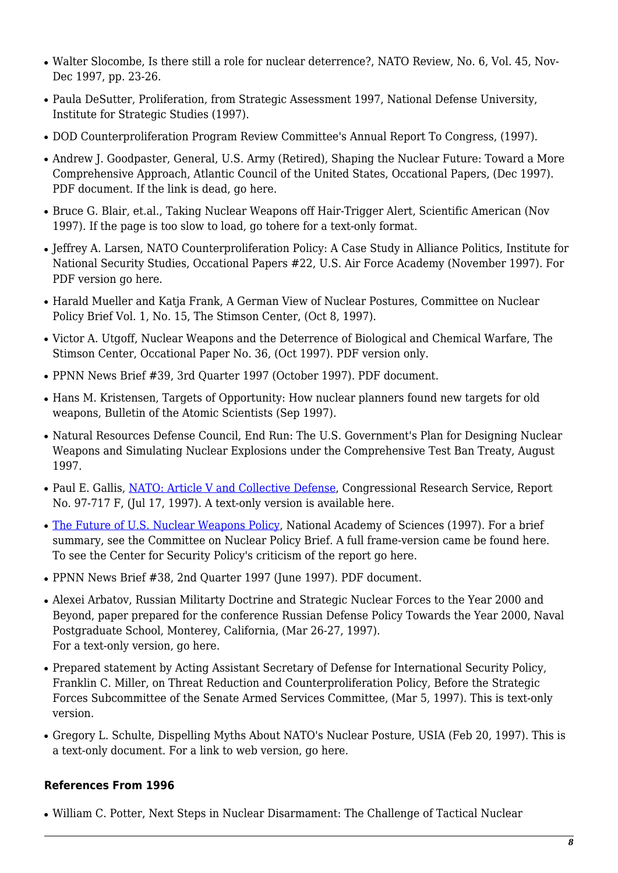- Walter Slocombe, Is there still a role for nuclear deterrence?, NATO Review, No. 6, Vol. 45, Nov-Dec 1997, pp. 23-26.
- Paula DeSutter, Proliferation, from Strategic Assessment 1997, National Defense University, Institute for Strategic Studies (1997).
- DOD Counterproliferation Program Review Committee's Annual Report To Congress, (1997).
- Andrew J. Goodpaster, General, U.S. Army (Retired), Shaping the Nuclear Future: Toward a More Comprehensive Approach, Atlantic Council of the United States, Occational Papers, (Dec 1997). PDF document. If the link is dead, go here.
- Bruce G. Blair, et.al., Taking Nuclear Weapons off Hair-Trigger Alert, Scientific American (Nov 1997). If the page is too slow to load, go tohere for a text-only format.
- Jeffrey A. Larsen, NATO Counterproliferation Policy: A Case Study in Alliance Politics, Institute for National Security Studies, Occational Papers #22, U.S. Air Force Academy (November 1997). For PDF version go here.
- Harald Mueller and Katia Frank, A German View of Nuclear Postures, Committee on Nuclear Policy Brief Vol. 1, No. 15, The Stimson Center, (Oct 8, 1997).
- Victor A. Utgoff, Nuclear Weapons and the Deterrence of Biological and Chemical Warfare, The Stimson Center, Occational Paper No. 36, (Oct 1997). PDF version only.
- PPNN News Brief #39, 3rd Quarter 1997 (October 1997). PDF document.
- Hans M. Kristensen, Targets of Opportunity: How nuclear planners found new targets for old weapons, Bulletin of the Atomic Scientists (Sep 1997).
- Natural Resources Defense Council, End Run: The U.S. Government's Plan for Designing Nuclear Weapons and Simulating Nuclear Explosions under the Comprehensive Test Ban Treaty, August 1997.
- Paul E. Gallis, [NATO: Article V and Collective Defense,](http://www.fas.org/man/crs/97-717f.htm) Congressional Research Service, Report No. 97-717 F, (Jul 17, 1997). A text-only version is available here.
- [The Future of U.S. Nuclear Weapons Policy,](http://www.nap.edu/readingroom/books/fun) National Academy of Sciences (1997). For a brief summary, see the Committee on Nuclear Policy Brief. A full frame-version came be found here. To see the Center for Security Policy's criticism of the report go here.
- PPNN News Brief #38, 2nd Quarter 1997 (June 1997). PDF document.
- Alexei Arbatov, Russian Militarty Doctrine and Strategic Nuclear Forces to the Year 2000 and Beyond, paper prepared for the conference Russian Defense Policy Towards the Year 2000, Naval Postgraduate School, Monterey, California, (Mar 26-27, 1997). For a text-only version, go here.
- Prepared statement by Acting Assistant Secretary of Defense for International Security Policy, Franklin C. Miller, on Threat Reduction and Counterproliferation Policy, Before the Strategic Forces Subcommittee of the Senate Armed Services Committee, (Mar 5, 1997). This is text-only version.
- Gregory L. Schulte, Dispelling Myths About NATO's Nuclear Posture, USIA (Feb 20, 1997). This is a text-only document. For a link to web version, go here.

## **References From 1996**

• William C. Potter, Next Steps in Nuclear Disarmament: The Challenge of Tactical Nuclear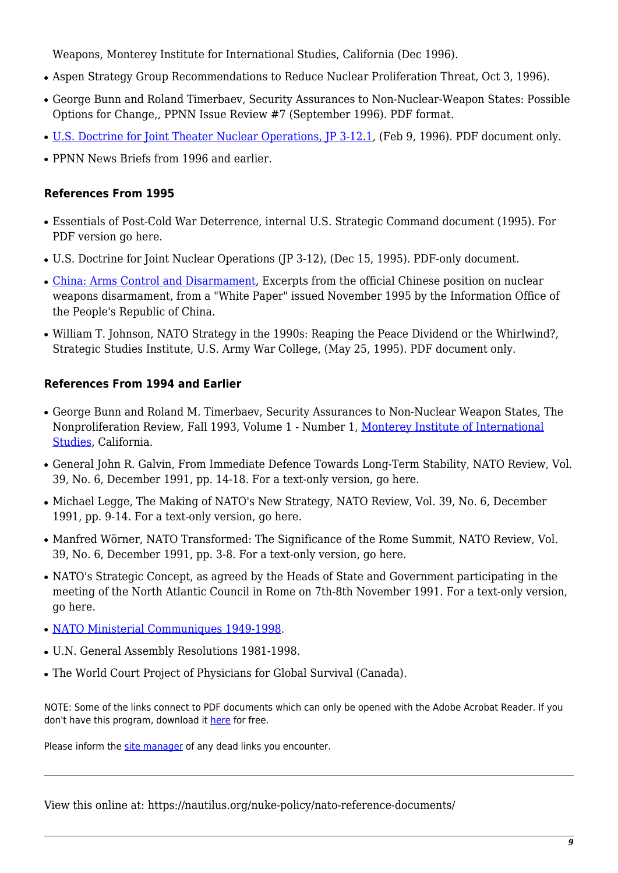Weapons, Monterey Institute for International Studies, California (Dec 1996).

- Aspen Strategy Group Recommendations to Reduce Nuclear Proliferation Threat, Oct 3, 1996).
- George Bunn and Roland Timerbaev, Security Assurances to Non-Nuclear-Weapon States: Possible Options for Change,, PPNN Issue Review #7 (September 1996). PDF format.
- [U.S. Doctrine for Joint Theater Nuclear Operations, JP 3-12.1](http://www.wslfweb.org/docs/doctrine/theaternukeops.pdf), (Feb 9, 1996). PDF document only.
- PPNN News Briefs from 1996 and earlier.

### **References From 1995**

- Essentials of Post-Cold War Deterrence, internal U.S. Strategic Command document (1995). For PDF version go here.
- U.S. Doctrine for Joint Nuclear Operations (JP 3-12), (Dec 15, 1995). PDF-only document.
- [China: Arms Control and Disarmament](http://prop1.org/prop1/chwp.htm), Excerpts from the official Chinese position on nuclear weapons disarmament, from a "White Paper" issued November 1995 by the Information Office of the People's Republic of China.
- William T. Johnson, NATO Strategy in the 1990s: Reaping the Peace Dividend or the Whirlwind?, Strategic Studies Institute, U.S. Army War College, (May 25, 1995). PDF document only.

### **References From 1994 and Earlier**

- George Bunn and Roland M. Timerbaev, Security Assurances to Non-Nuclear Weapon States, The Nonproliferation Review, Fall 1993, Volume 1 - Number 1, [Monterey Institute of International](http://www.miis.edu/) [Studies](http://www.miis.edu/), California.
- General John R. Galvin, From Immediate Defence Towards Long-Term Stability, NATO Review, Vol. 39, No. 6, December 1991, pp. 14-18. For a text-only version, go here.
- Michael Legge, The Making of NATO's New Strategy, NATO Review, Vol. 39, No. 6, December 1991, pp. 9-14. For a text-only version, go here.
- Manfred Wörner, NATO Transformed: The Significance of the Rome Summit, NATO Review, Vol. 39, No. 6, December 1991, pp. 3-8. For a text-only version, go here.
- NATO's Strategic Concept, as agreed by the Heads of State and Government participating in the meeting of the North Atlantic Council in Rome on 7th-8th November 1991. For a text-only version, go here.
- [NATO Ministerial Communiques 1949-1998.](http://www.nato.int/docu/comm.htm)
- U.N. General Assembly Resolutions 1981-1998.
- The World Court Project of Physicians for Global Survival (Canada).

NOTE: Some of the links connect to PDF documents which can only be opened with the Adobe Acrobat Reader. If you don't have this program, download it [here](http://www.adobe.com/) for free.

Please inform the [site manager](mailto:Nautilus@nautilus.org) of any dead links you encounter.

View this online at: https://nautilus.org/nuke-policy/nato-reference-documents/